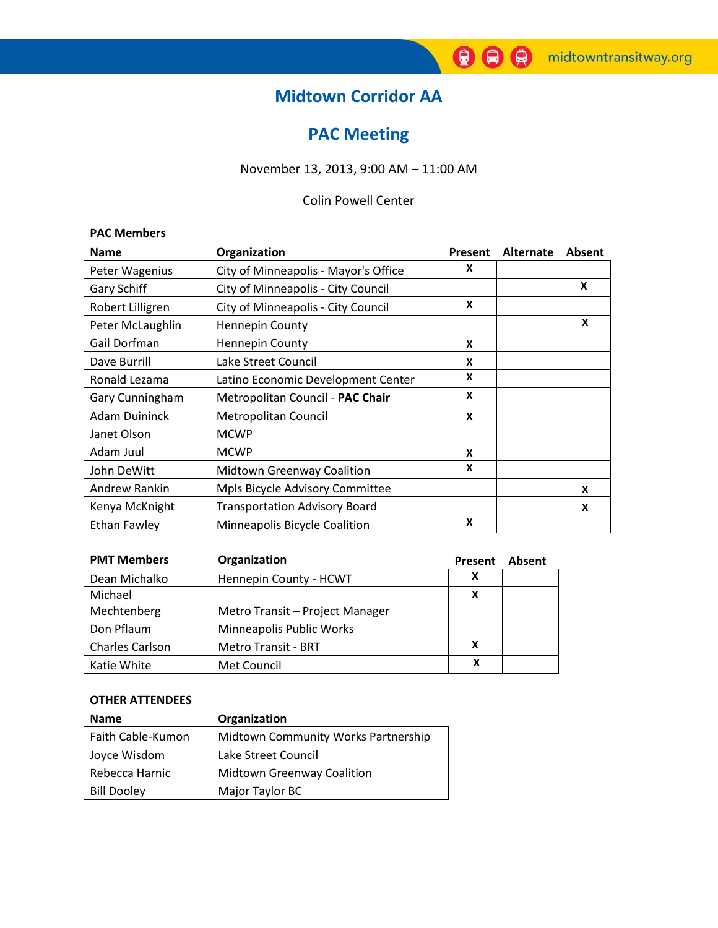## **Midtown Corridor AA**

# **PAC Meeting**

## November 13, 2013, 9:00 AM – 11:00 AM

### Colin Powell Center

#### **PAC Members**

| <b>Name</b>          | Organization                         | Present | <b>Alternate</b> | <b>Absent</b> |
|----------------------|--------------------------------------|---------|------------------|---------------|
| Peter Wagenius       | City of Minneapolis - Mayor's Office | X       |                  |               |
| Gary Schiff          | City of Minneapolis - City Council   |         |                  | X             |
| Robert Lilligren     | City of Minneapolis - City Council   | X       |                  |               |
| Peter McLaughlin     | <b>Hennepin County</b>               |         |                  | X             |
| Gail Dorfman         | <b>Hennepin County</b>               | X       |                  |               |
| Dave Burrill         | Lake Street Council                  | X       |                  |               |
| Ronald Lezama        | Latino Economic Development Center   | X       |                  |               |
| Gary Cunningham      | Metropolitan Council - PAC Chair     | X       |                  |               |
| <b>Adam Duininck</b> | Metropolitan Council                 | X       |                  |               |
| Janet Olson          | <b>MCWP</b>                          |         |                  |               |
| Adam Juul            | <b>MCWP</b>                          | X       |                  |               |
| John DeWitt          | <b>Midtown Greenway Coalition</b>    | X       |                  |               |
| Andrew Rankin        | Mpls Bicycle Advisory Committee      |         |                  | X             |
| Kenya McKnight       | <b>Transportation Advisory Board</b> |         |                  | X             |
| Ethan Fawley         | Minneapolis Bicycle Coalition        | X       |                  |               |

| <b>PMT Members</b>     | Organization                    | Present | Absent |
|------------------------|---------------------------------|---------|--------|
| Dean Michalko          | Hennepin County - HCWT          |         |        |
| Michael                |                                 | X       |        |
| Mechtenberg            | Metro Transit - Project Manager |         |        |
| Don Pflaum             | <b>Minneapolis Public Works</b> |         |        |
| <b>Charles Carlson</b> | <b>Metro Transit - BRT</b>      | x       |        |
| Katie White            | Met Council                     | x       |        |

#### **OTHER ATTENDEES**

| <b>Name</b>        | Organization                        |  |  |
|--------------------|-------------------------------------|--|--|
| Faith Cable-Kumon  | Midtown Community Works Partnership |  |  |
| Joyce Wisdom       | Lake Street Council                 |  |  |
| Rebecca Harnic     | <b>Midtown Greenway Coalition</b>   |  |  |
| <b>Bill Dooley</b> | Major Taylor BC                     |  |  |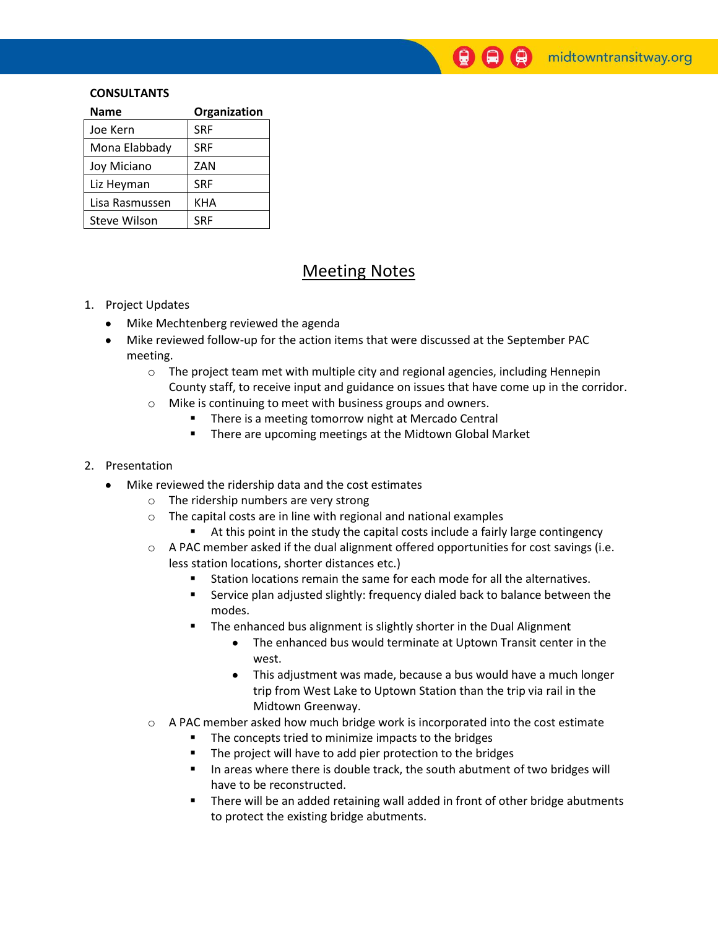$\bigcirc$   $\bigcirc$   $\bigcirc$  midtowntransitway.org

#### **CONSULTANTS**

| <b>Name</b>         | Organization |
|---------------------|--------------|
| Joe Kern            | <b>SRF</b>   |
| Mona Elabbady       | <b>SRF</b>   |
| Joy Miciano         | ZAN          |
| Liz Heyman          | <b>SRF</b>   |
| Lisa Rasmussen      | KHA          |
| <b>Steve Wilson</b> | <b>SRF</b>   |

## Meeting Notes

#### 1. Project Updates

- Mike Mechtenberg reviewed the agenda  $\bullet$
- Mike reviewed follow-up for the action items that were discussed at the September PAC meeting.
	- $\circ$  The project team met with multiple city and regional agencies, including Hennepin County staff, to receive input and guidance on issues that have come up in the corridor.
	- o Mike is continuing to meet with business groups and owners.
		- There is a meeting tomorrow night at Mercado Central
			- **There are upcoming meetings at the Midtown Global Market**

#### 2. Presentation

- Mike reviewed the ridership data and the cost estimates  $\bullet$ 
	- o The ridership numbers are very strong
	- o The capital costs are in line with regional and national examples
		- At this point in the study the capital costs include a fairly large contingency
	- $\circ$  A PAC member asked if the dual alignment offered opportunities for cost savings (i.e. less station locations, shorter distances etc.)
		- Station locations remain the same for each mode for all the alternatives.
		- Service plan adjusted slightly: frequency dialed back to balance between the modes.
		- **The enhanced bus alignment is slightly shorter in the Dual Alignment** 
			- The enhanced bus would terminate at Uptown Transit center in the west.
			- This adjustment was made, because a bus would have a much longer trip from West Lake to Uptown Station than the trip via rail in the Midtown Greenway.
	- $\circ$  A PAC member asked how much bridge work is incorporated into the cost estimate
		- The concepts tried to minimize impacts to the bridges
		- **The project will have to add pier protection to the bridges**
		- In areas where there is double track, the south abutment of two bridges will have to be reconstructed.
		- There will be an added retaining wall added in front of other bridge abutments to protect the existing bridge abutments.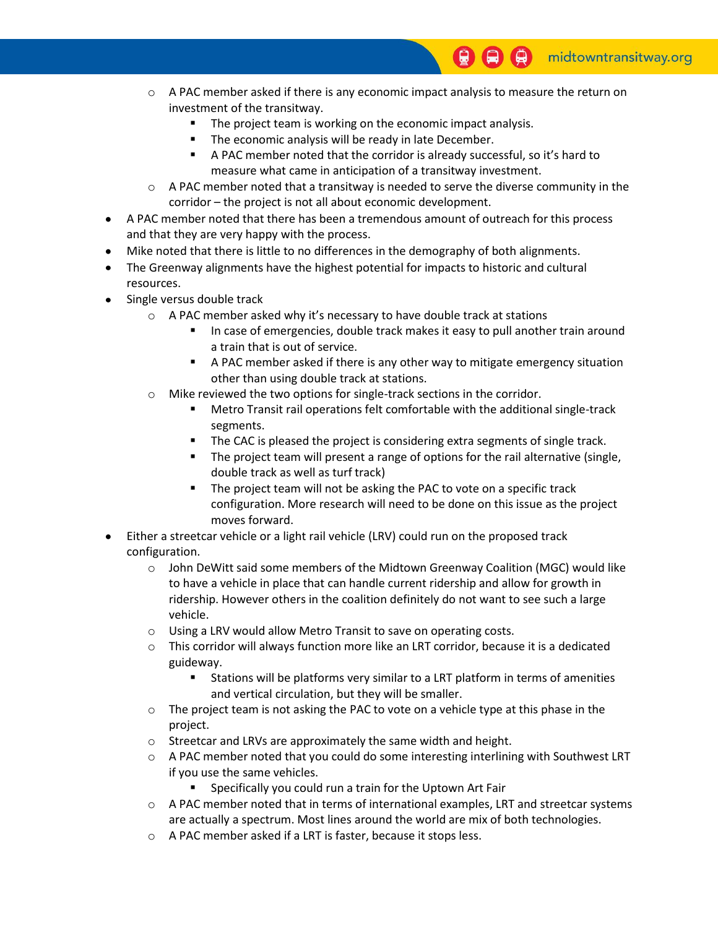- $\circ$  A PAC member asked if there is any economic impact analysis to measure the return on investment of the transitway.
	- The project team is working on the economic impact analysis.
	- **The economic analysis will be ready in late December.**
	- A PAC member noted that the corridor is already successful, so it's hard to measure what came in anticipation of a transitway investment.
- $\circ$  A PAC member noted that a transitway is needed to serve the diverse community in the corridor – the project is not all about economic development.
- A PAC member noted that there has been a tremendous amount of outreach for this process and that they are very happy with the process.
- Mike noted that there is little to no differences in the demography of both alignments.
- The Greenway alignments have the highest potential for impacts to historic and cultural resources.
- Single versus double track  $\bullet$ 
	- o A PAC member asked why it's necessary to have double track at stations
		- In case of emergencies, double track makes it easy to pull another train around a train that is out of service.
		- A PAC member asked if there is any other way to mitigate emergency situation other than using double track at stations.
	- o Mike reviewed the two options for single-track sections in the corridor.
		- Metro Transit rail operations felt comfortable with the additional single-track segments.
		- The CAC is pleased the project is considering extra segments of single track.
		- **The project team will present a range of options for the rail alternative (single,** double track as well as turf track)
		- The project team will not be asking the PAC to vote on a specific track configuration. More research will need to be done on this issue as the project moves forward.
- Either a streetcar vehicle or a light rail vehicle (LRV) could run on the proposed track configuration.
	- $\circ$  John DeWitt said some members of the Midtown Greenway Coalition (MGC) would like to have a vehicle in place that can handle current ridership and allow for growth in ridership. However others in the coalition definitely do not want to see such a large vehicle.
	- o Using a LRV would allow Metro Transit to save on operating costs.
	- $\circ$  This corridor will always function more like an LRT corridor, because it is a dedicated guideway.
		- Stations will be platforms very similar to a LRT platform in terms of amenities and vertical circulation, but they will be smaller.
	- $\circ$  The project team is not asking the PAC to vote on a vehicle type at this phase in the project.
	- o Streetcar and LRVs are approximately the same width and height.
	- $\circ$  A PAC member noted that you could do some interesting interlining with Southwest LRT if you use the same vehicles.
		- Specifically you could run a train for the Uptown Art Fair
	- $\circ$  A PAC member noted that in terms of international examples, LRT and streetcar systems are actually a spectrum. Most lines around the world are mix of both technologies.
	- o A PAC member asked if a LRT is faster, because it stops less.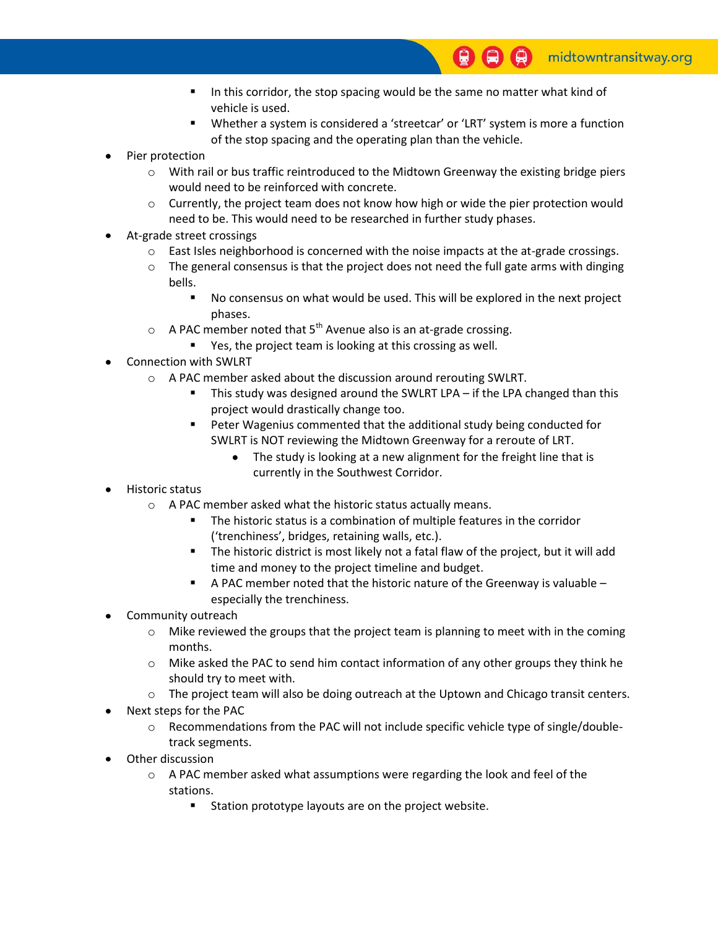- In this corridor, the stop spacing would be the same no matter what kind of vehicle is used.
- Whether a system is considered a 'streetcar' or 'LRT' system is more a function of the stop spacing and the operating plan than the vehicle.
- Pier protection
	- $\circ$  With rail or bus traffic reintroduced to the Midtown Greenway the existing bridge piers would need to be reinforced with concrete.
	- $\circ$  Currently, the project team does not know how high or wide the pier protection would need to be. This would need to be researched in further study phases.
- At-grade street crossings
	- $\circ$  East Isles neighborhood is concerned with the noise impacts at the at-grade crossings.
	- $\circ$  The general consensus is that the project does not need the full gate arms with dinging bells.
		- No consensus on what would be used. This will be explored in the next project phases.
	- $\circ$  A PAC member noted that 5<sup>th</sup> Avenue also is an at-grade crossing.
	- Yes, the project team is looking at this crossing as well.
- Connection with SWLRT
	- o A PAC member asked about the discussion around rerouting SWLRT.
		- This study was designed around the SWLRT LPA if the LPA changed than this project would drastically change too.
		- **Peter Wagenius commented that the additional study being conducted for** SWLRT is NOT reviewing the Midtown Greenway for a reroute of LRT.
			- The study is looking at a new alignment for the freight line that is currently in the Southwest Corridor.
- Historic status
	- o A PAC member asked what the historic status actually means.
		- The historic status is a combination of multiple features in the corridor ('trenchiness', bridges, retaining walls, etc.).
		- The historic district is most likely not a fatal flaw of the project, but it will add time and money to the project timeline and budget.
		- A PAC member noted that the historic nature of the Greenway is valuable especially the trenchiness.
- Community outreach
	- $\circ$  Mike reviewed the groups that the project team is planning to meet with in the coming months.
	- $\circ$  Mike asked the PAC to send him contact information of any other groups they think he should try to meet with.
	- $\circ$  The project team will also be doing outreach at the Uptown and Chicago transit centers.
- Next steps for the PAC
	- $\circ$  Recommendations from the PAC will not include specific vehicle type of single/doubletrack segments.
- Other discussion
	- $\circ$  A PAC member asked what assumptions were regarding the look and feel of the stations.
		- **Station prototype layouts are on the project website.**